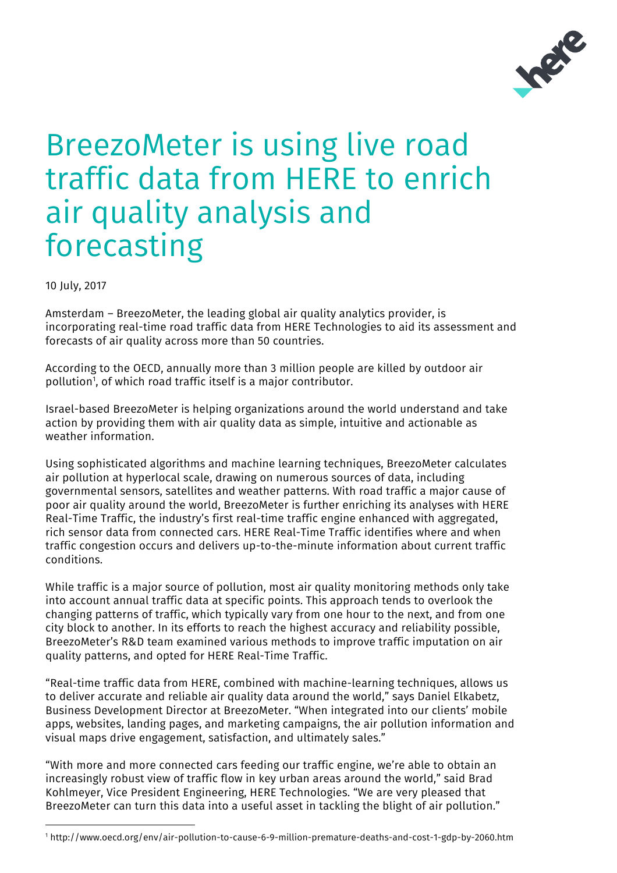

## BreezoMeter is using live road traffic data from HERE to enrich air quality analysis and forecasting

10 July, 2017

Amsterdam – BreezoMeter, the leading global air quality analytics provider, is incorporating real-time road traffic data from HERE Technologies to aid its assessment and forecasts of air quality across more than 50 countries.

According to the OECD, annually more than 3 million people are killed by outdoor air pollution<sup>1</sup>, of which road traffic itself is a major contributor.

Israel-based BreezoMeter is helping organizations around the world understand and take action by providing them with air quality data as simple, intuitive and actionable as weather information.

Using sophisticated algorithms and machine learning techniques, BreezoMeter calculates air pollution at hyperlocal scale, drawing on numerous sources of data, including governmental sensors, satellites and weather patterns. With road traffic a major cause of poor air quality around the world, BreezoMeter is further enriching its analyses with HERE Real-Time Traffic, the industry's first real-time traffic engine enhanced with aggregated, rich sensor data from connected cars. HERE Real-Time Traffic identifies where and when traffic congestion occurs and delivers up-to-the-minute information about current traffic conditions.

While traffic is a major source of pollution, most air quality monitoring methods only take into account annual traffic data at specific points. This approach tends to overlook the changing patterns of traffic, which typically vary from one hour to the next, and from one city block to another. In its efforts to reach the highest accuracy and reliability possible, BreezoMeter's R&D team examined various methods to improve traffic imputation on air quality patterns, and opted for HERE Real-Time Traffic.

"Real-time traffic data from HERE, combined with machine-learning techniques, allows us to deliver accurate and reliable air quality data around the world," says Daniel Elkabetz, Business Development Director at BreezoMeter. "When integrated into our clients' mobile apps, websites, landing pages, and marketing campaigns, the air pollution information and visual maps drive engagement, satisfaction, and ultimately sales."

"With more and more connected cars feeding our traffic engine, we're able to obtain an increasingly robust view of traffic flow in key urban areas around the world," said Brad Kohlmeyer, Vice President Engineering, HERE Technologies. "We are very pleased that BreezoMeter can turn this data into a useful asset in tackling the blight of air pollution."

 <sup>1</sup> http://www.oecd.org/env/air-pollution-to-cause-6-9-million-premature-deaths-and-cost-1-gdp-by-2060.htm